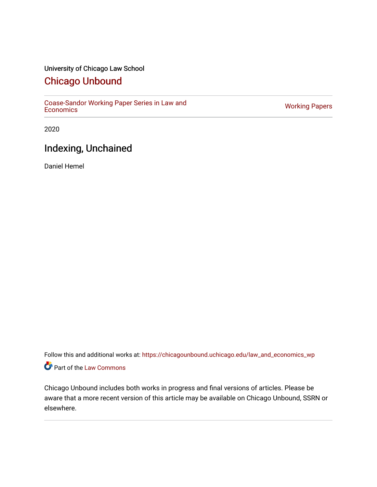## University of Chicago Law School

# [Chicago Unbound](https://chicagounbound.uchicago.edu/)

[Coase-Sandor Working Paper Series in Law and](https://chicagounbound.uchicago.edu/law_and_economics_wp) [Economics](https://chicagounbound.uchicago.edu/law_and_economics_wp) [Working Papers](https://chicagounbound.uchicago.edu/working_papers) 

2020

# Indexing, Unchained

Daniel Hemel

Follow this and additional works at: [https://chicagounbound.uchicago.edu/law\\_and\\_economics\\_wp](https://chicagounbound.uchicago.edu/law_and_economics_wp?utm_source=chicagounbound.uchicago.edu%2Flaw_and_economics_wp%2F46&utm_medium=PDF&utm_campaign=PDFCoverPages)  Part of the [Law Commons](http://network.bepress.com/hgg/discipline/578?utm_source=chicagounbound.uchicago.edu%2Flaw_and_economics_wp%2F46&utm_medium=PDF&utm_campaign=PDFCoverPages)

Chicago Unbound includes both works in progress and final versions of articles. Please be aware that a more recent version of this article may be available on Chicago Unbound, SSRN or elsewhere.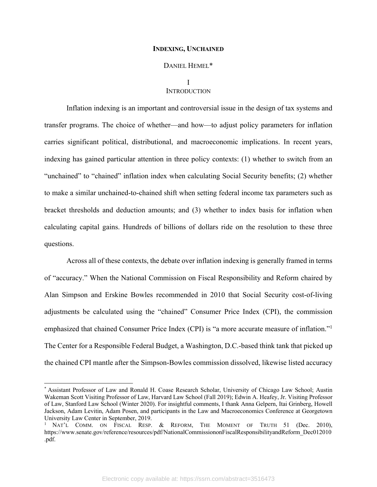#### **INDEXING, UNCHAINED**

#### DANIEL HEMEL\*

## I **INTRODUCTION**

Inflation indexing is an important and controversial issue in the design of tax systems and transfer programs. The choice of whether—and how—to adjust policy parameters for inflation carries significant political, distributional, and macroeconomic implications. In recent years, indexing has gained particular attention in three policy contexts: (1) whether to switch from an "unchained" to "chained" inflation index when calculating Social Security benefits; (2) whether to make a similar unchained-to-chained shift when setting federal income tax parameters such as bracket thresholds and deduction amounts; and (3) whether to index basis for inflation when calculating capital gains. Hundreds of billions of dollars ride on the resolution to these three questions.

Across all of these contexts, the debate over inflation indexing is generally framed in terms of "accuracy." When the National Commission on Fiscal Responsibility and Reform chaired by Alan Simpson and Erskine Bowles recommended in 2010 that Social Security cost-of-living adjustments be calculated using the "chained" Consumer Price Index (CPI), the commission emphasized that chained Consumer Price Index (CPI) is "a more accurate measure of inflation."<sup>1</sup> The Center for a Responsible Federal Budget, a Washington, D.C.-based think tank that picked up the chained CPI mantle after the Simpson-Bowles commission dissolved, likewise listed accuracy

<sup>\*</sup> Assistant Professor of Law and Ronald H. Coase Research Scholar, University of Chicago Law School; Austin Wakeman Scott Visiting Professor of Law, Harvard Law School (Fall 2019); Edwin A. Heafey, Jr. Visiting Professor of Law, Stanford Law School (Winter 2020). For insightful comments, I thank Anna Gelpern, Itai Grinberg, Howell Jackson, Adam Levitin, Adam Posen, and participants in the Law and Macroeconomics Conference at Georgetown University Law Center in September, 2019.

<sup>&</sup>lt;sup>1</sup> NAT'L COMM. ON FISCAL RESP. & REFORM, THE MOMENT OF TRUTH 51 (Dec. 2010), https://www.senate.gov/reference/resources/pdf/NationalCommissiononFiscalResponsibilityandReform\_Dec012010 .pdf.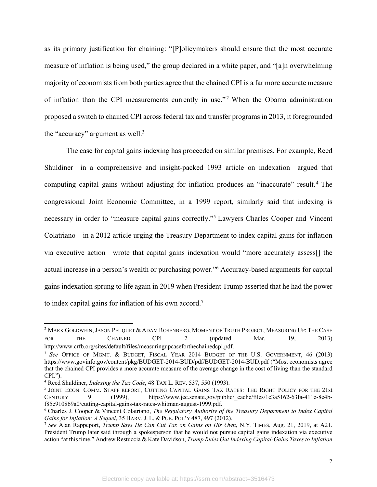as its primary justification for chaining: "[P]olicymakers should ensure that the most accurate measure of inflation is being used," the group declared in a white paper, and "[a]n overwhelming majority of economists from both parties agree that the chained CPI is a far more accurate measure of inflation than the CPI measurements currently in use."<sup>2</sup> When the Obama administration proposed a switch to chained CPI across federal tax and transfer programs in 2013, it foregrounded the "accuracy" argument as well.<sup>3</sup>

The case for capital gains indexing has proceeded on similar premises. For example, Reed Shuldiner—in a comprehensive and insight-packed 1993 article on indexation—argued that computing capital gains without adjusting for inflation produces an "inaccurate" result.<sup>4</sup> The congressional Joint Economic Committee, in a 1999 report, similarly said that indexing is necessary in order to "measure capital gains correctly."5 Lawyers Charles Cooper and Vincent Colatriano—in a 2012 article urging the Treasury Department to index capital gains for inflation via executive action—wrote that capital gains indexation would "more accurately assess[] the actual increase in a person's wealth or purchasing power."6 Accuracy-based arguments for capital gains indexation sprung to life again in 2019 when President Trump asserted that he had the power to index capital gains for inflation of his own accord.7

<sup>&</sup>lt;sup>2</sup> MARK GOLDWEIN, JASON PEUQUET & ADAM ROSENBERG, MOMENT OF TRUTH PROJECT, MEASURING UP: THE CASE FOR THE CHAINED CPI 2 (updated Mar. 19, 2013) http://www.crfb.org/sites/default/files/measuringupcaseforthechainedcpi.pdf.

<sup>3</sup> *See* OFFICE OF MGMT. & BUDGET, FISCAL YEAR 2014 BUDGET OF THE U.S. GOVERNMENT, 46 (2013) https://www.govinfo.gov/content/pkg/BUDGET-2014-BUD/pdf/BUDGET-2014-BUD.pdf ("Most economists agree that the chained CPI provides a more accurate measure of the average change in the cost of living than the standard CPI.").

<sup>&</sup>lt;sup>4</sup> Reed Shuldiner, *Indexing the Tax Code*, 48 TAX L. REV. 537, 550 (1993).<br><sup>5</sup> JOINT ECON. COMM. STAFF REPORT, CUTTING CAPITAL GAINS TAX RATES: THE RIGHT POLICY FOR THE 21st<br>CENTURY 9 (1999), https://www.iec.senate.gov/p 9 (1999), https://www.jec.senate.gov/public/\_cache/files/1c3a5162-63fa-411e-8e4bf85e910869a0/cutting-capital-gains-tax-rates-whitman-august-1999.pdf.

<sup>6</sup> Charles J. Cooper & Vincent Colatriano, *The Regulatory Authority of the Treasury Department to Index Capital Gains for Inflation: A Sequel*, 35 HARV. J. L. & PUB. POL'Y 487, 497 (2012).

<sup>7</sup> *See* Alan Rappeport, *Trump Says He Can Cut Tax on Gains on His Own*, N.Y. TIMES, Aug. 21, 2019, at A21. President Trump later said through a spokesperson that he would not pursue capital gains indexation via executive action "at this time." Andrew Restuccia & Kate Davidson, *Trump Rules Out Indexing Capital-Gains Taxes to Inflation*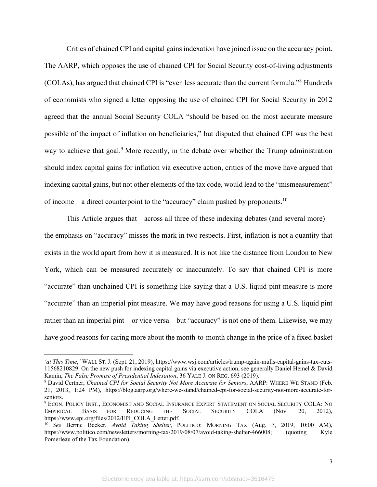Critics of chained CPI and capital gains indexation have joined issue on the accuracy point. The AARP, which opposes the use of chained CPI for Social Security cost-of-living adjustments (COLAs), has argued that chained CPI is "even less accurate than the current formula."8 Hundreds of economists who signed a letter opposing the use of chained CPI for Social Security in 2012 agreed that the annual Social Security COLA "should be based on the most accurate measure possible of the impact of inflation on beneficiaries," but disputed that chained CPI was the best way to achieve that goal.<sup>9</sup> More recently, in the debate over whether the Trump administration should index capital gains for inflation via executive action, critics of the move have argued that indexing capital gains, but not other elements of the tax code, would lead to the "mismeasurement" of income—a direct counterpoint to the "accuracy" claim pushed by proponents.10

This Article argues that—across all three of these indexing debates (and several more) the emphasis on "accuracy" misses the mark in two respects. First, inflation is not a quantity that exists in the world apart from how it is measured. It is not like the distance from London to New York, which can be measured accurately or inaccurately. To say that chained CPI is more "accurate" than unchained CPI is something like saying that a U.S. liquid pint measure is more "accurate" than an imperial pint measure. We may have good reasons for using a U.S. liquid pint rather than an imperial pint—or vice versa—but "accuracy" is not one of them. Likewise, we may have good reasons for caring more about the month-to-month change in the price of a fixed basket

*<sup>&#</sup>x27;at This Time*,*'* WALL ST.J. (Sept. 21, 2019), https://www.wsj.com/articles/trump-again-mulls-capital-gains-tax-cuts-11568210829. On the new push for indexing capital gains via executive action, see generally Daniel Hemel & David Kamin, The False Promise of Presidential Indexation, 36 YALE J. ON REG. 693 (2019).

<sup>&</sup>lt;sup>8</sup> David Certner, *Chained CPI for Social Security Not More Accurate for Seniors*, AARP: WHERE WE STAND (Feb. 21, 2013, 1:24 PM), https://blog.aarp.org/where-we-stand/chained-cpi-for-social-security-not-more-accurate-forseniors.

<sup>9</sup> ECON. POLICY INST., ECONOMIST AND SOCIAL INSURANCE EXPERT STATEMENT ON SOCIAL SECURITY COLA: NO EMPIRICAL BASIS FOR REDUCING THE SOCIAL SECURITY COLA (Nov. 20, 2012), https://www.epi.org/files/2012/EPI\_COLA\_Letter.pdf.

<sup>10</sup> *See* Bernie Becker, *Avoid Taking Shelter*, POLITICO: MORNING TAX (Aug. 7, 2019, 10:00 AM), https://www.politico.com/newsletters/morning-tax/2019/08/07/avoid-taking-shelter-466008; (quoting Kyle Pomerleau of the Tax Foundation).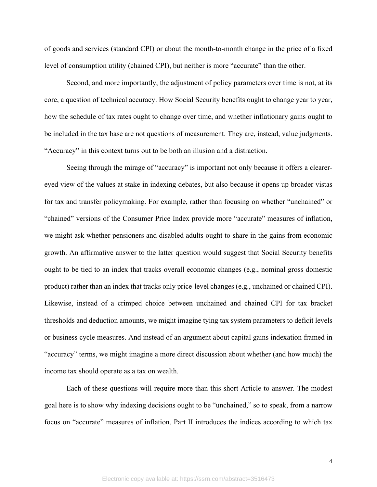of goods and services (standard CPI) or about the month-to-month change in the price of a fixed level of consumption utility (chained CPI), but neither is more "accurate" than the other.

Second, and more importantly, the adjustment of policy parameters over time is not, at its core, a question of technical accuracy. How Social Security benefits ought to change year to year, how the schedule of tax rates ought to change over time, and whether inflationary gains ought to be included in the tax base are not questions of measurement. They are, instead, value judgments. "Accuracy" in this context turns out to be both an illusion and a distraction.

Seeing through the mirage of "accuracy" is important not only because it offers a clearereyed view of the values at stake in indexing debates, but also because it opens up broader vistas for tax and transfer policymaking. For example, rather than focusing on whether "unchained" or "chained" versions of the Consumer Price Index provide more "accurate" measures of inflation, we might ask whether pensioners and disabled adults ought to share in the gains from economic growth. An affirmative answer to the latter question would suggest that Social Security benefits ought to be tied to an index that tracks overall economic changes (e.g., nominal gross domestic product) rather than an index that tracks only price-level changes (e.g., unchained or chained CPI). Likewise, instead of a crimped choice between unchained and chained CPI for tax bracket thresholds and deduction amounts, we might imagine tying tax system parameters to deficit levels or business cycle measures. And instead of an argument about capital gains indexation framed in "accuracy" terms, we might imagine a more direct discussion about whether (and how much) the income tax should operate as a tax on wealth.

Each of these questions will require more than this short Article to answer. The modest goal here is to show why indexing decisions ought to be "unchained," so to speak, from a narrow focus on "accurate" measures of inflation. Part II introduces the indices according to which tax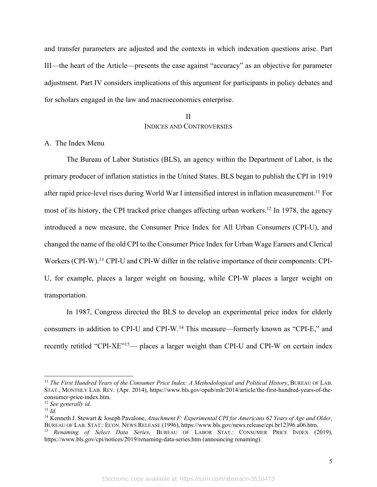and transfer parameters are adjusted and the contexts in which indexation questions arise. Part III—the heart of the Article—presents the case against "accuracy" as an objective for parameter adjustment. Part IV considers implications of this argument for participants in policy debates and for scholars engaged in the law and macroeconomics enterprise.

# II INDICES AND CONTROVERSIES

### A. The Index Menu

The Bureau of Labor Statistics (BLS), an agency within the Department of Labor, is the primary producer of inflation statistics in the United States. BLS began to publish the CPI in 1919 after rapid price-level rises during World War I intensified interest in inflation measurement.<sup>11</sup> For most of its history, the CPI tracked price changes affecting urban workers.12 In 1978, the agency introduced a new measure, the Consumer Price Index for All Urban Consumers (CPI-U), and changed the name of the old CPI to the Consumer Price Index for Urban Wage Earners and Clerical Workers (CPI-W).<sup>13</sup> CPI-U and CPI-W differ in the relative importance of their components: CPI-U, for example, places a larger weight on housing, while CPI-W places a larger weight on transportation.

In 1987, Congress directed the BLS to develop an experimental price index for elderly consumers in addition to CPI-U and CPI-W. <sup>14</sup> This measure—formerly known as "CPI-E," and recently retitled "CPI-XE"<sup>15</sup>— places a larger weight than CPI-U and CPI-W on certain index

<sup>11</sup> *The First Hundred Years of the Consumer Price Index: A Methodological and Political History*, BUREAU OF LAB. STAT., MONTHLY LAB. REV. (Apr. 2014), https://www.bls.gov/opub/mlr/2014/article/the-first-hundred-years-of-theconsumer-price-index.htm.

<sup>12</sup> *See generally id.*

<sup>13</sup> *Id.*

<sup>14</sup> Kenneth J. Stewart & Joseph Pavalone, *Attachment F: Experimental CPI for Americans 62 Years of Age and Older,* BUREAU OF LAB. STAT.: ECON. NEWS RELEASE (1996), https://www.bls.gov/news.release/cpi.br12396.a06.htm. <sup>15</sup> *Renaming of Select Data Series*, BUREAU OF LABOR STAT.: CONSUMER PRICE INDEX (2019), https://www.bls.gov/cpi/notices/2019/renaming-data-series.htm (announcing renaming).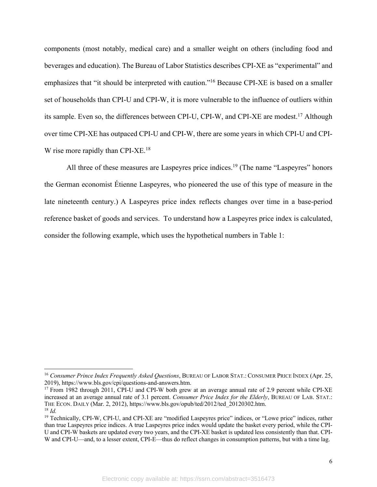components (most notably, medical care) and a smaller weight on others (including food and beverages and education). The Bureau of Labor Statistics describes CPI-XE as "experimental" and emphasizes that "it should be interpreted with caution."16 Because CPI-XE is based on a smaller set of households than CPI-U and CPI-W, it is more vulnerable to the influence of outliers within its sample. Even so, the differences between CPI-U, CPI-W, and CPI-XE are modest.17 Although over time CPI-XE has outpaced CPI-U and CPI-W, there are some years in which CPI-U and CPI-W rise more rapidly than CPI-XE.<sup>18</sup>

All three of these measures are Laspeyres price indices.<sup>19</sup> (The name "Laspeyres" honors the German economist Étienne Laspeyres, who pioneered the use of this type of measure in the late nineteenth century.) A Laspeyres price index reflects changes over time in a base-period reference basket of goods and services. To understand how a Laspeyres price index is calculated, consider the following example, which uses the hypothetical numbers in Table 1:

<sup>16</sup> *Consumer Prince Index Frequently Asked Questions*, BUREAU OF LABOR STAT.: CONSUMER PRICE INDEX (Apr. 25, 2019), https://www.bls.gov/cpi/questions-and-answers.htm.

<sup>&</sup>lt;sup>17</sup> From 1982 through 2011, CPI-U and CPI-W both grew at an average annual rate of 2.9 percent while CPI-XE increased at an average annual rate of 3.1 percent. *Consumer Price Index for the Elderly*, BUREAU OF LAB. STAT.: THE ECON. DAILY (Mar. 2, 2012), https://www.bls.gov/opub/ted/2012/ted\_20120302.htm. 18 *Id.*

<sup>&</sup>lt;sup>19</sup> Technically, CPI-W, CPI-U, and CPI-XE are "modified Laspeyres price" indices, or "Lowe price" indices, rather than true Laspeyres price indices. A true Laspeyres price index would update the basket every period, while the CPI-U and CPI-W baskets are updated every two years, and the CPI-XE basket is updated less consistently than that. CPI-W and CPI-U—and, to a lesser extent, CPI-E—thus do reflect changes in consumption patterns, but with a time lag.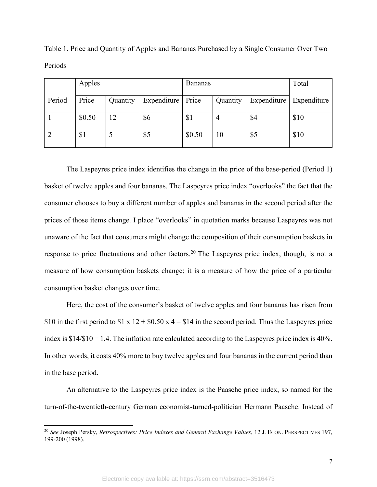|        | Apples |          |                    | Bananas |          |             | Total       |
|--------|--------|----------|--------------------|---------|----------|-------------|-------------|
| Period | Price  | Quantity | <b>Expenditure</b> | Price   | Quantity | Expenditure | Expenditure |
|        | \$0.50 | 12       | \$6                | \$1     |          | \$4         | \$10        |
|        | \$1    |          | \$5                | \$0.50  | 10       | \$5         | \$10        |

Table 1. Price and Quantity of Apples and Bananas Purchased by a Single Consumer Over Two Periods

The Laspeyres price index identifies the change in the price of the base-period (Period 1) basket of twelve apples and four bananas. The Laspeyres price index "overlooks" the fact that the consumer chooses to buy a different number of apples and bananas in the second period after the prices of those items change. I place "overlooks" in quotation marks because Laspeyres was not unaware of the fact that consumers might change the composition of their consumption baskets in response to price fluctuations and other factors.<sup>20</sup> The Laspeyres price index, though, is not a measure of how consumption baskets change; it is a measure of how the price of a particular consumption basket changes over time.

Here, the cost of the consumer's basket of twelve apples and four bananas has risen from \$10 in the first period to \$1 x  $12 + $0.50$  x  $4 = $14$  in the second period. Thus the Laspeyres price index is  $$14/$10 = 1.4$ . The inflation rate calculated according to the Laspeyres price index is  $40\%$ . In other words, it costs 40% more to buy twelve apples and four bananas in the current period than in the base period.

An alternative to the Laspeyres price index is the Paasche price index, so named for the turn-of-the-twentieth-century German economist-turned-politician Hermann Paasche. Instead of

<sup>20</sup> *See* Joseph Persky, *Retrospectives: Price Indexes and General Exchange Values*, 12 J. ECON. PERSPECTIVES 197, 199-200 (1998).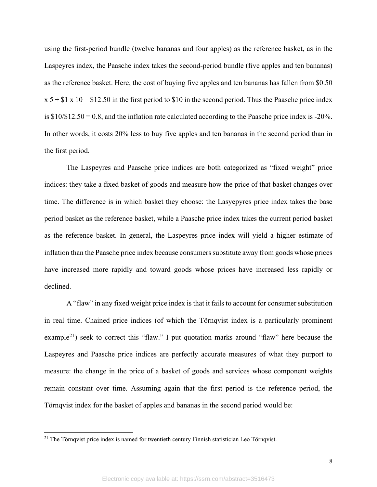using the first-period bundle (twelve bananas and four apples) as the reference basket, as in the Laspeyres index, the Paasche index takes the second-period bundle (five apples and ten bananas) as the reference basket. Here, the cost of buying five apples and ten bananas has fallen from \$0.50  $x 5 + $1 x 10 = $12.50$  in the first period to \$10 in the second period. Thus the Paasche price index is \$10/\$12.50 = 0.8, and the inflation rate calculated according to the Paasche price index is -20%. In other words, it costs 20% less to buy five apples and ten bananas in the second period than in the first period.

The Laspeyres and Paasche price indices are both categorized as "fixed weight" price indices: they take a fixed basket of goods and measure how the price of that basket changes over time. The difference is in which basket they choose: the Lasyepyres price index takes the base period basket as the reference basket, while a Paasche price index takes the current period basket as the reference basket. In general, the Laspeyres price index will yield a higher estimate of inflation than the Paasche price index because consumers substitute away from goods whose prices have increased more rapidly and toward goods whose prices have increased less rapidly or declined.

A "flaw" in any fixed weight price index is that it fails to account for consumer substitution in real time. Chained price indices (of which the Törnqvist index is a particularly prominent example<sup>21</sup>) seek to correct this "flaw." I put quotation marks around "flaw" here because the Laspeyres and Paasche price indices are perfectly accurate measures of what they purport to measure: the change in the price of a basket of goods and services whose component weights remain constant over time. Assuming again that the first period is the reference period, the Törnqvist index for the basket of apples and bananas in the second period would be:

<sup>&</sup>lt;sup>21</sup> The Törnqvist price index is named for twentieth century Finnish statistician Leo Törnqvist.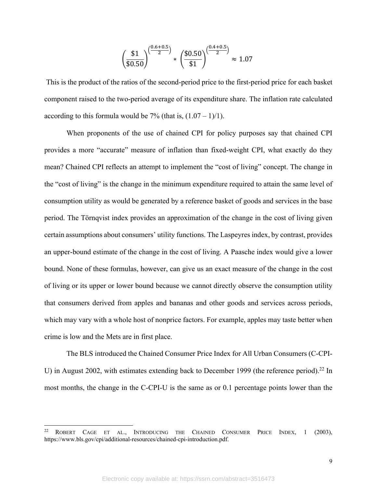$$
\left(\frac{\$1}{\$0.50}\right)^{\left(\frac{0.6+0.5}{2}\right)} * \left(\frac{\$0.50}{\$1}\right)^{\left(\frac{0.4+0.5}{2}\right)} \approx 1.07
$$

This is the product of the ratios of the second-period price to the first-period price for each basket component raised to the two-period average of its expenditure share. The inflation rate calculated according to this formula would be 7% (that is,  $(1.07 - 1)/1$ ).

When proponents of the use of chained CPI for policy purposes say that chained CPI provides a more "accurate" measure of inflation than fixed-weight CPI, what exactly do they mean? Chained CPI reflects an attempt to implement the "cost of living" concept. The change in the "cost of living" is the change in the minimum expenditure required to attain the same level of consumption utility as would be generated by a reference basket of goods and services in the base period. The Törnqvist index provides an approximation of the change in the cost of living given certain assumptions about consumers' utility functions. The Laspeyres index, by contrast, provides an upper-bound estimate of the change in the cost of living. A Paasche index would give a lower bound. None of these formulas, however, can give us an exact measure of the change in the cost of living or its upper or lower bound because we cannot directly observe the consumption utility that consumers derived from apples and bananas and other goods and services across periods, which may vary with a whole host of nonprice factors. For example, apples may taste better when crime is low and the Mets are in first place.

The BLS introduced the Chained Consumer Price Index for All Urban Consumers (C-CPI-U) in August 2002, with estimates extending back to December 1999 (the reference period).<sup>22</sup> In most months, the change in the C-CPI-U is the same as or 0.1 percentage points lower than the

<sup>&</sup>lt;sup>22</sup> ROBERT CAGE ET AL., INTRODUCING THE CHAINED CONSUMER PRICE INDEX, 1 (2003), https://www.bls.gov/cpi/additional-resources/chained-cpi-introduction.pdf.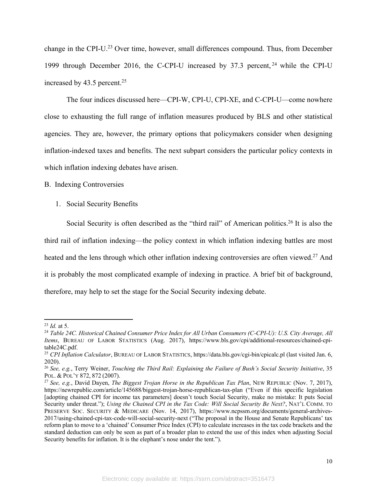change in the CPI-U.23 Over time, however, small differences compound. Thus, from December 1999 through December 2016, the C-CPI-U increased by 37.3 percent, <sup>24</sup> while the CPI-U increased by 43.5 percent.<sup>25</sup>

The four indices discussed here—CPI-W, CPI-U, CPI-XE, and C-CPI-U—come nowhere close to exhausting the full range of inflation measures produced by BLS and other statistical agencies. They are, however, the primary options that policymakers consider when designing inflation-indexed taxes and benefits. The next subpart considers the particular policy contexts in which inflation indexing debates have arisen.

B. Indexing Controversies

1. Social Security Benefits

Social Security is often described as the "third rail" of American politics.<sup>26</sup> It is also the third rail of inflation indexing—the policy context in which inflation indexing battles are most heated and the lens through which other inflation indexing controversies are often viewed.<sup>27</sup> And it is probably the most complicated example of indexing in practice. A brief bit of background, therefore, may help to set the stage for the Social Security indexing debate.

<sup>23</sup> *Id.* at 5.

<sup>24</sup> *Table 24C. Historical Chained Consumer Price Index for All Urban Consumers (C-CPI-U): U.S. City Average, All Items*, BUREAU OF LABOR STATISTICS (Aug. 2017), https://www.bls.gov/cpi/additional-resources/chained-cpitable24C.pdf.

<sup>25</sup> *CPI Inflation Calculator*, BUREAU OF LABOR STATISTICS, https://data.bls.gov/cgi-bin/cpicalc.pl (last visited Jan. 6, 2020).

<sup>26</sup> *See, e.g.*, Terry Weiner, *Touching the Third Rail: Explaining the Failure of Bush's Social Security Initiative*, 35 POL. & POL'Y 872, 872 (2007).

<sup>27</sup> *See, e.g.*, David Dayen, *The Biggest Trojan Horse in the Republican Tax Plan*, NEW REPUBLIC (Nov. 7, 2017), https://newrepublic.com/article/145688/biggest-trojan-horse-republican-tax-plan ("Even if this specific legislation [adopting chained CPI for income tax parameters] doesn't touch Social Security, make no mistake: It puts Social Security under threat."); *Using the Chained CPI in the Tax Code: Will Social Security Be Next?*, NAT'L COMM. TO PRESERVE SOC. SECURITY & MEDICARE (Nov. 14, 2017), https://www.ncpssm.org/documents/general-archives-2017/using-chained-cpi-tax-code-will-social-security-next ("The proposal in the House and Senate Republicans' tax reform plan to move to a 'chained' Consumer Price Index (CPI) to calculate increases in the tax code brackets and the standard deduction can only be seen as part of a broader plan to extend the use of this index when adjusting Social Security benefits for inflation. It is the elephant's nose under the tent.").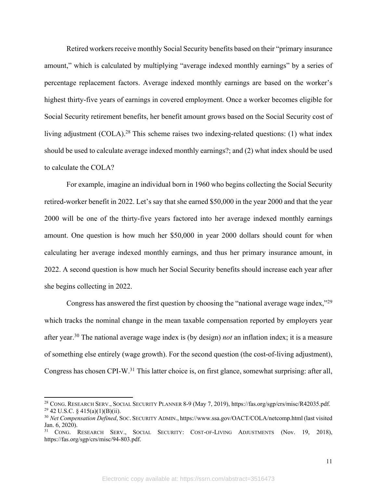Retired workers receive monthly Social Security benefits based on their "primary insurance amount," which is calculated by multiplying "average indexed monthly earnings" by a series of percentage replacement factors. Average indexed monthly earnings are based on the worker's highest thirty-five years of earnings in covered employment. Once a worker becomes eligible for Social Security retirement benefits, her benefit amount grows based on the Social Security cost of living adjustment (COLA).<sup>28</sup> This scheme raises two indexing-related questions: (1) what index should be used to calculate average indexed monthly earnings?; and (2) what index should be used to calculate the COLA?

For example, imagine an individual born in 1960 who begins collecting the Social Security retired-worker benefit in 2022. Let's say that she earned \$50,000 in the year 2000 and that the year 2000 will be one of the thirty-five years factored into her average indexed monthly earnings amount. One question is how much her \$50,000 in year 2000 dollars should count for when calculating her average indexed monthly earnings, and thus her primary insurance amount, in 2022. A second question is how much her Social Security benefits should increase each year after she begins collecting in 2022.

Congress has answered the first question by choosing the "national average wage index,"<sup>29</sup> which tracks the nominal change in the mean taxable compensation reported by employers year after year.30 The national average wage index is (by design) *not* an inflation index; it is a measure of something else entirely (wage growth). For the second question (the cost-of-living adjustment), Congress has chosen CPI-W.31 This latter choice is, on first glance, somewhat surprising: after all,

<sup>&</sup>lt;sup>28</sup> CONG. RESEARCH SERV., SOCIAL SECURITY PLANNER 8-9 (May 7, 2019), https://fas.org/sgp/crs/misc/R42035.pdf.  $29$  42 U.S.C. § 415(a)(1)(B)(ii).

<sup>30</sup> *Net Compensation Defined*, SOC. SECURITY ADMIN., https://www.ssa.gov/OACT/COLA/netcomp.html (last visited Jan. 6, 2020).

<sup>&</sup>lt;sup>31</sup> CONG. RESEARCH SERV., SOCIAL SECURITY: COST-OF-LIVING ADJUSTMENTS (Nov. 19, 2018), https://fas.org/sgp/crs/misc/94-803.pdf.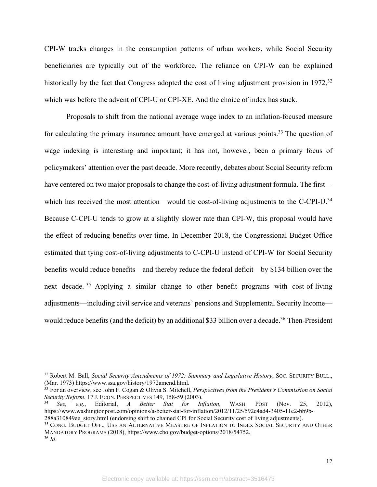CPI-W tracks changes in the consumption patterns of urban workers, while Social Security beneficiaries are typically out of the workforce. The reliance on CPI-W can be explained historically by the fact that Congress adopted the cost of living adjustment provision in 1972,<sup>32</sup> which was before the advent of CPI-U or CPI-XE. And the choice of index has stuck.

Proposals to shift from the national average wage index to an inflation-focused measure for calculating the primary insurance amount have emerged at various points.<sup>33</sup> The question of wage indexing is interesting and important; it has not, however, been a primary focus of policymakers' attention over the past decade. More recently, debates about Social Security reform have centered on two major proposals to change the cost-of-living adjustment formula. The first which has received the most attention—would tie cost-of-living adjustments to the C-CPI-U.<sup>34</sup> Because C-CPI-U tends to grow at a slightly slower rate than CPI-W, this proposal would have the effect of reducing benefits over time. In December 2018, the Congressional Budget Office estimated that tying cost-of-living adjustments to C-CPI-U instead of CPI-W for Social Security benefits would reduce benefits—and thereby reduce the federal deficit—by \$134 billion over the next decade. <sup>35</sup> Applying a similar change to other benefit programs with cost-of-living adjustments—including civil service and veterans' pensions and Supplemental Security Income would reduce benefits (and the deficit) by an additional \$33 billion over a decade.<sup>36</sup> Then-President

<sup>33</sup> For an overview, see John F. Cogan & Olivia S. Mitchell, *Perspectives from the President's Commission on Social Security Reform*, 17 J. ECON. PERSPECTIVES 149, 158-59 (2003).

<sup>34</sup> *See, e.g.*, Editorial, *A Better Stat for Inflation*, WASH. POST (Nov. 25, 2012), https://www.washingtonpost.com/opinions/a-better-stat-for-inflation/2012/11/25/592e4ad4-3405-11e2-bb9b-

288a310849ee\_story.html (endorsing shift to chained CPI for Social Security cost of living adjustments).

<sup>&</sup>lt;sup>32</sup> Robert M. Ball, *Social Security Amendments of 1972: Summary and Legislative History*, Soc. SECURITY BULL., (Mar. 1973) https://www.ssa.gov/history/1972amend.html.

<sup>&</sup>lt;sup>35</sup> CONG. BUDGET OFF., USE AN ALTERNATIVE MEASURE OF INFLATION TO INDEX SOCIAL SECURITY AND OTHER MANDATORY PROGRAMS (2018), https://www.cbo.gov/budget-options/2018/54752. <sup>36</sup> *Id.*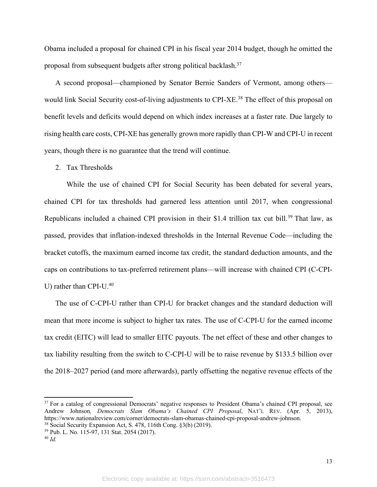Obama included a proposal for chained CPI in his fiscal year 2014 budget, though he omitted the proposal from subsequent budgets after strong political backlash.37

A second proposal—championed by Senator Bernie Sanders of Vermont, among others would link Social Security cost-of-living adjustments to CPI-XE.<sup>38</sup> The effect of this proposal on benefit levels and deficits would depend on which index increases at a faster rate. Due largely to rising health care costs, CPI-XE has generally grown more rapidly than CPI-W and CPI-U in recent years, though there is no guarantee that the trend will continue.

#### 2. Tax Thresholds

While the use of chained CPI for Social Security has been debated for several years, chained CPI for tax thresholds had garnered less attention until 2017, when congressional Republicans included a chained CPI provision in their \$1.4 trillion tax cut bill.<sup>39</sup> That law, as passed, provides that inflation-indexed thresholds in the Internal Revenue Code—including the bracket cutoffs, the maximum earned income tax credit, the standard deduction amounts, and the caps on contributions to tax-preferred retirement plans—will increase with chained CPI (C-CPI-U) rather than CPI-U.<sup>40</sup>

The use of C-CPI-U rather than CPI-U for bracket changes and the standard deduction will mean that more income is subject to higher tax rates. The use of C-CPI-U for the earned income tax credit (EITC) will lead to smaller EITC payouts. The net effect of these and other changes to tax liability resulting from the switch to C-CPI-U will be to raise revenue by \$133.5 billion over the 2018–2027 period (and more afterwards), partly offsetting the negative revenue effects of the

<sup>&</sup>lt;sup>37</sup> For a catalog of congressional Democrats' negative responses to President Obama's chained CPI proposal, see Andrew Johnson*, Democrats Slam Obama's Chained CPI Proposal*, NAT'L REV. (Apr. 5, 2013), https://www.nationalreview.com/corner/democrats-slam-obamas-chained-cpi-proposal-andrew-johnson. <sup>38</sup> Social Security Expansion Act, S. 478, 116th Cong. §3(b) (2019).

<sup>39</sup> Pub. L. No. 115-97, 131 Stat. 2054 (2017).

<sup>40</sup> *Id.*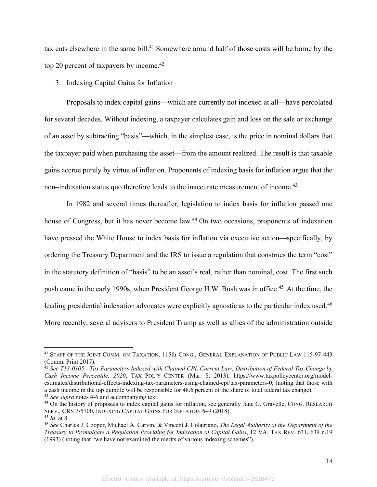tax cuts elsewhere in the same bill.<sup>41</sup> Somewhere around half of those costs will be borne by the top 20 percent of taxpayers by income. 42

3. Indexing Capital Gains for Inflation

Proposals to index capital gains—which are currently not indexed at all—have percolated for several decades. Without indexing, a taxpayer calculates gain and loss on the sale or exchange of an asset by subtracting "basis"—which, in the simplest case, is the price in nominal dollars that the taxpayer paid when purchasing the asset—from the amount realized. The result is that taxable gains accrue purely by virtue of inflation. Proponents of indexing basis for inflation argue that the non–indexation status quo therefore leads to the inaccurate measurement of income.<sup>43</sup>

In 1982 and several times thereafter, legislation to index basis for inflation passed one house of Congress, but it has never become law.44 On two occasions, proponents of indexation have pressed the White House to index basis for inflation via executive action—specifically, by ordering the Treasury Department and the IRS to issue a regulation that construes the term "cost" in the statutory definition of "basis" to be an asset's real, rather than nominal, cost. The first such push came in the early 1990s, when President George H.W. Bush was in office.45 At the time, the leading presidential indexation advocates were explicitly agnostic as to the particular index used.<sup>46</sup> More recently, several advisers to President Trump as well as allies of the administration outside

<sup>41</sup> STAFF OF THE JOINT COMM. ON TAXATION, 115th CONG., GENERAL EXPLANATION OF PUBLIC LAW 115-97 443 (Comm. Print 2017).

<sup>42</sup> *See T13-0105 - Tax Parameters Indexed with Chained CPI, Current Law; Distribution of Federal Tax Change by Cash Income Percentile, 2020*, TAX POL'Y CENTER (Mar. 8, 2013), https://www.taxpolicycenter.org/modelestimates/distributional-effects-indexing-tax-parameters-using-chained-cpi/tax-parameters-0; (noting that those with a cash income in the top quintile will be responsible for 48.6 percent of the share of total federal tax change). <sup>43</sup> *See supra* notes 4-6 and accompanying text.

<sup>44</sup> On the history of proposals to index capital gains for inflation, see generally Jane G. Gravelle, CONG. RESEARCH SERV., CRS 7-5700, INDEXING CAPITAL GAINS FOR INFLATION 6-9 (2018). <sup>45</sup> *Id.* at 8.

<sup>46</sup> *See* Charles J. Cooper, Michael A. Carvin, & Vincent J. Colatriano, *The Legal Authority of the Department of the Treasury to Promulgate a Regulation Providing for Indexation of Capital Gains*, 12 VA. TAX REV. 631, 639 n.19 (1993) (noting that "we have not examined the merits of various indexing schemes").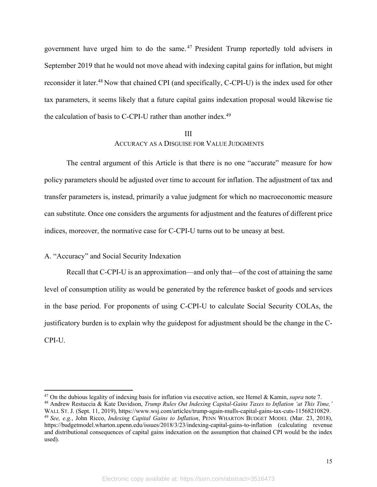government have urged him to do the same. <sup>47</sup> President Trump reportedly told advisers in September 2019 that he would not move ahead with indexing capital gains for inflation, but might reconsider it later.48 Now that chained CPI (and specifically, C-CPI-U) is the index used for other tax parameters, it seems likely that a future capital gains indexation proposal would likewise tie the calculation of basis to C-CPI-U rather than another index.<sup>49</sup>

# III ACCURACY AS A DISGUISE FOR VALUE JUDGMENTS

The central argument of this Article is that there is no one "accurate" measure for how policy parameters should be adjusted over time to account for inflation. The adjustment of tax and transfer parameters is, instead, primarily a value judgment for which no macroeconomic measure can substitute. Once one considers the arguments for adjustment and the features of different price indices, moreover, the normative case for C-CPI-U turns out to be uneasy at best.

### A. "Accuracy" and Social Security Indexation

Recall that C-CPI-U is an approximation—and only that—of the cost of attaining the same level of consumption utility as would be generated by the reference basket of goods and services in the base period. For proponents of using C-CPI-U to calculate Social Security COLAs, the justificatory burden is to explain why the guidepost for adjustment should be the change in the C-CPI-U.

<sup>47</sup> On the dubious legality of indexing basis for inflation via executive action, see Hemel & Kamin, *supra* note 7. <sup>48</sup> Andrew Restuccia & Kate Davidson, *Trump Rules Out Indexing Capital-Gains Taxes to Inflation 'at This Time,'* WALL ST. J. (Sept. 11, 2019), https://www.wsj.com/articles/trump-again-mulls-capital-gains-tax-cuts-11568210829. <sup>49</sup> *See, e.g.*, John Ricco, *Indexing Capital Gains to Inflation*, PENN WHARTON BUDGET MODEL (Mar. 23, 2018), https://budgetmodel.wharton.upenn.edu/issues/2018/3/23/indexing-capital-gains-to-inflation (calculating revenue and distributional consequences of capital gains indexation on the assumption that chained CPI would be the index used).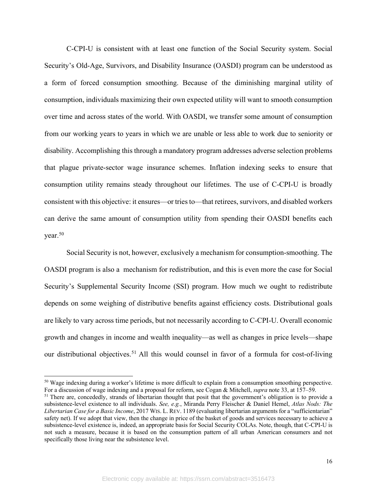C-CPI-U is consistent with at least one function of the Social Security system. Social Security's Old-Age, Survivors, and Disability Insurance (OASDI) program can be understood as a form of forced consumption smoothing. Because of the diminishing marginal utility of consumption, individuals maximizing their own expected utility will want to smooth consumption over time and across states of the world. With OASDI, we transfer some amount of consumption from our working years to years in which we are unable or less able to work due to seniority or disability. Accomplishing this through a mandatory program addresses adverse selection problems that plague private-sector wage insurance schemes. Inflation indexing seeks to ensure that consumption utility remains steady throughout our lifetimes. The use of C-CPI-U is broadly consistent with this objective: it ensures—or tries to—that retirees, survivors, and disabled workers can derive the same amount of consumption utility from spending their OASDI benefits each year.50

Social Security is not, however, exclusively a mechanism for consumption-smoothing. The OASDI program is also a mechanism for redistribution, and this is even more the case for Social Security's Supplemental Security Income (SSI) program. How much we ought to redistribute depends on some weighing of distributive benefits against efficiency costs. Distributional goals are likely to vary across time periods, but not necessarily according to C-CPI-U. Overall economic growth and changes in income and wealth inequality—as well as changes in price levels—shape our distributional objectives.<sup>51</sup> All this would counsel in favor of a formula for cost-of-living

<sup>&</sup>lt;sup>50</sup> Wage indexing during a worker's lifetime is more difficult to explain from a consumption smoothing perspective. For a discussion of wage indexing and a proposal for reform, see Cogan & Mitchell, *supra* note 33, at 157–59.

<sup>&</sup>lt;sup>51</sup> There are, concededly, strands of libertarian thought that posit that the government's obligation is to provide a subsistence-level existence to all individuals. *See, e.g.*, Miranda Perry Fleischer & Daniel Hemel, *Atlas Nods: The Libertarian Case for a Basic Income*, 2017 WIS. L. REV. 1189 (evaluating libertarian arguments for a "sufficientarian" safety net). If we adopt that view, then the change in price of the basket of goods and services necessary to achieve a subsistence-level existence is, indeed, an appropriate basis for Social Security COLAs. Note, though, that C-CPI-U is not such a measure, because it is based on the consumption pattern of all urban American consumers and not specifically those living near the subsistence level.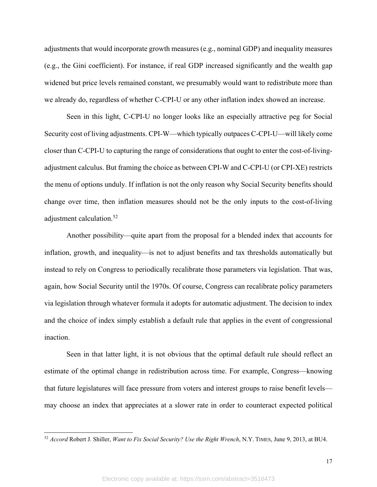adjustments that would incorporate growth measures (e.g., nominal GDP) and inequality measures (e.g., the Gini coefficient). For instance, if real GDP increased significantly and the wealth gap widened but price levels remained constant, we presumably would want to redistribute more than we already do, regardless of whether C-CPI-U or any other inflation index showed an increase.

Seen in this light, C-CPI-U no longer looks like an especially attractive peg for Social Security cost of living adjustments. CPI-W—which typically outpaces C-CPI-U—will likely come closer than C-CPI-U to capturing the range of considerations that ought to enter the cost-of-livingadjustment calculus. But framing the choice as between CPI-W and C-CPI-U (or CPI-XE) restricts the menu of options unduly. If inflation is not the only reason why Social Security benefits should change over time, then inflation measures should not be the only inputs to the cost-of-living adjustment calculation.52

Another possibility—quite apart from the proposal for a blended index that accounts for inflation, growth, and inequality—is not to adjust benefits and tax thresholds automatically but instead to rely on Congress to periodically recalibrate those parameters via legislation. That was, again, how Social Security until the 1970s. Of course, Congress can recalibrate policy parameters via legislation through whatever formula it adopts for automatic adjustment. The decision to index and the choice of index simply establish a default rule that applies in the event of congressional inaction.

Seen in that latter light, it is not obvious that the optimal default rule should reflect an estimate of the optimal change in redistribution across time. For example, Congress—knowing that future legislatures will face pressure from voters and interest groups to raise benefit levels may choose an index that appreciates at a slower rate in order to counteract expected political

<sup>52</sup> *Accord* Robert J. Shiller, *Want to Fix Social Security? Use the Right Wrench*, N.Y. TIMES, June 9, 2013, at BU4.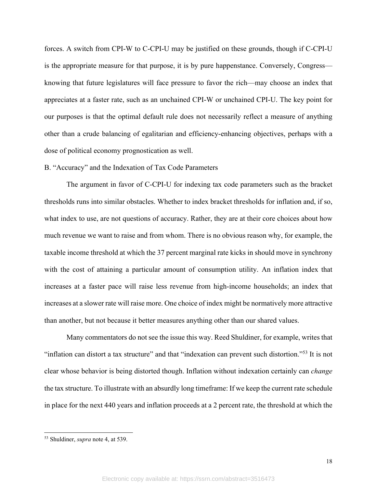forces. A switch from CPI-W to C-CPI-U may be justified on these grounds, though if C-CPI-U is the appropriate measure for that purpose, it is by pure happenstance. Conversely, Congress knowing that future legislatures will face pressure to favor the rich—may choose an index that appreciates at a faster rate, such as an unchained CPI-W or unchained CPI-U. The key point for our purposes is that the optimal default rule does not necessarily reflect a measure of anything other than a crude balancing of egalitarian and efficiency-enhancing objectives, perhaps with a dose of political economy prognostication as well.

#### B. "Accuracy" and the Indexation of Tax Code Parameters

The argument in favor of C-CPI-U for indexing tax code parameters such as the bracket thresholds runs into similar obstacles. Whether to index bracket thresholds for inflation and, if so, what index to use, are not questions of accuracy. Rather, they are at their core choices about how much revenue we want to raise and from whom. There is no obvious reason why, for example, the taxable income threshold at which the 37 percent marginal rate kicks in should move in synchrony with the cost of attaining a particular amount of consumption utility. An inflation index that increases at a faster pace will raise less revenue from high-income households; an index that increases at a slower rate will raise more. One choice of index might be normatively more attractive than another, but not because it better measures anything other than our shared values.

Many commentators do not see the issue this way. Reed Shuldiner, for example, writes that "inflation can distort a tax structure" and that "indexation can prevent such distortion."53 It is not clear whose behavior is being distorted though. Inflation without indexation certainly can *change* the tax structure. To illustrate with an absurdly long timeframe: If we keep the current rate schedule in place for the next 440 years and inflation proceeds at a 2 percent rate, the threshold at which the

<sup>53</sup> Shuldiner, *supra* note 4, at 539.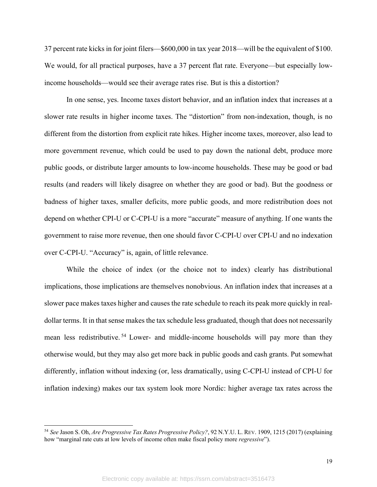37 percent rate kicks in for joint filers—\$600,000 in tax year 2018—will be the equivalent of \$100. We would, for all practical purposes, have a 37 percent flat rate. Everyone—but especially lowincome households—would see their average rates rise. But is this a distortion?

In one sense, yes. Income taxes distort behavior, and an inflation index that increases at a slower rate results in higher income taxes. The "distortion" from non-indexation, though, is no different from the distortion from explicit rate hikes. Higher income taxes, moreover, also lead to more government revenue, which could be used to pay down the national debt, produce more public goods, or distribute larger amounts to low-income households. These may be good or bad results (and readers will likely disagree on whether they are good or bad). But the goodness or badness of higher taxes, smaller deficits, more public goods, and more redistribution does not depend on whether CPI-U or C-CPI-U is a more "accurate" measure of anything. If one wants the government to raise more revenue, then one should favor C-CPI-U over CPI-U and no indexation over C-CPI-U. "Accuracy" is, again, of little relevance.

While the choice of index (or the choice not to index) clearly has distributional implications, those implications are themselves nonobvious. An inflation index that increases at a slower pace makes taxes higher and causes the rate schedule to reach its peak more quickly in realdollar terms. It in that sense makes the tax schedule less graduated, though that does not necessarily mean less redistributive.<sup>54</sup> Lower- and middle-income households will pay more than they otherwise would, but they may also get more back in public goods and cash grants. Put somewhat differently, inflation without indexing (or, less dramatically, using C-CPI-U instead of CPI-U for inflation indexing) makes our tax system look more Nordic: higher average tax rates across the

<sup>54</sup> *See* Jason S. Oh, *Are Progressive Tax Rates Progressive Policy?*, 92 N.Y.U. L. REV. 1909, 1215 (2017) (explaining how "marginal rate cuts at low levels of income often make fiscal policy more *regressive*").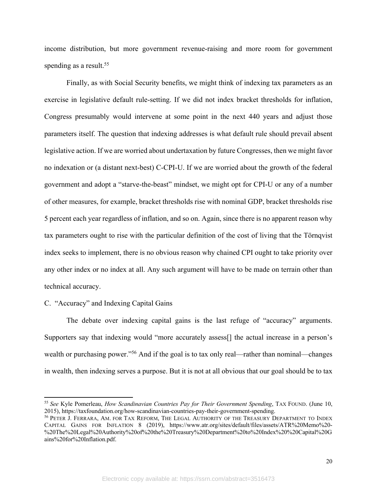income distribution, but more government revenue-raising and more room for government spending as a result.<sup>55</sup>

Finally, as with Social Security benefits, we might think of indexing tax parameters as an exercise in legislative default rule-setting. If we did not index bracket thresholds for inflation, Congress presumably would intervene at some point in the next 440 years and adjust those parameters itself. The question that indexing addresses is what default rule should prevail absent legislative action. If we are worried about undertaxation by future Congresses, then we might favor no indexation or (a distant next-best) C-CPI-U. If we are worried about the growth of the federal government and adopt a "starve-the-beast" mindset, we might opt for CPI-U or any of a number of other measures, for example, bracket thresholds rise with nominal GDP, bracket thresholds rise 5 percent each year regardless of inflation, and so on. Again, since there is no apparent reason why tax parameters ought to rise with the particular definition of the cost of living that the Törnqvist index seeks to implement, there is no obvious reason why chained CPI ought to take priority over any other index or no index at all. Any such argument will have to be made on terrain other than technical accuracy.

#### C. "Accuracy" and Indexing Capital Gains

The debate over indexing capital gains is the last refuge of "accuracy" arguments. Supporters say that indexing would "more accurately assess[] the actual increase in a person's wealth or purchasing power."<sup>56</sup> And if the goal is to tax only real—rather than nominal—changes in wealth, then indexing serves a purpose. But it is not at all obvious that our goal should be to tax

<sup>55</sup> *See* Kyle Pomerleau, *How Scandinavian Countries Pay for Their Government Spending*, TAX FOUND. (June 10, 2015), https://taxfoundation.org/how-scandinavian-countries-pay-their-government-spending.

<sup>56</sup> PETER J. FERRARA, AM. FOR TAX REFORM, THE LEGAL AUTHORITY OF THE TREASURY DEPARTMENT TO INDEX CAPITAL GAINS FOR INFLATION 8 (2019), https://www.atr.org/sites/default/files/assets/ATR%20Memo%20- %20The%20Legal%20Authority%20of%20the%20Treasury%20Department%20to%20Index%20%20Capital%20G ains%20for%20Inflation.pdf.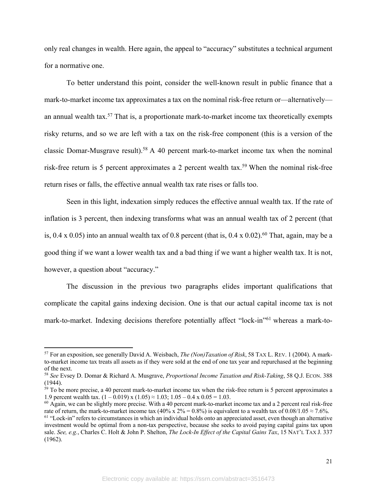only real changes in wealth. Here again, the appeal to "accuracy" substitutes a technical argument for a normative one.

To better understand this point, consider the well-known result in public finance that a mark-to-market income tax approximates a tax on the nominal risk-free return or—alternatively an annual wealth tax.<sup>57</sup> That is, a proportionate mark-to-market income tax theoretically exempts risky returns, and so we are left with a tax on the risk-free component (this is a version of the classic Domar-Musgrave result). <sup>58</sup> A 40 percent mark-to-market income tax when the nominal risk-free return is 5 percent approximates a 2 percent wealth tax.<sup>59</sup> When the nominal risk-free return rises or falls, the effective annual wealth tax rate rises or falls too.

Seen in this light, indexation simply reduces the effective annual wealth tax. If the rate of inflation is 3 percent, then indexing transforms what was an annual wealth tax of 2 percent (that is,  $0.4 \times 0.05$ ) into an annual wealth tax of 0.8 percent (that is,  $0.4 \times 0.02$ ).<sup>60</sup> That, again, may be a good thing if we want a lower wealth tax and a bad thing if we want a higher wealth tax. It is not, however, a question about "accuracy."

The discussion in the previous two paragraphs elides important qualifications that complicate the capital gains indexing decision. One is that our actual capital income tax is not mark-to-market. Indexing decisions therefore potentially affect "lock-in"61 whereas a mark-to-

<sup>57</sup> For an exposition, see generally David A. Weisbach, *The (Non)Taxation of Risk*, 58 TAX L. REV. 1 (2004). A markto-market income tax treats all assets as if they were sold at the end of one tax year and repurchased at the beginning of the next.

<sup>58</sup> *See* Evsey D. Domar & Richard A. Musgrave, *Proportional Income Taxation and Risk-Taking*, 58 Q.J. ECON. 388 (1944).

 $59$  To be more precise, a 40 percent mark-to-market income tax when the risk-free return is 5 percent approximates a 1.9 percent wealth tax.  $(1 - 0.019)$  x  $(1.05) \approx 1.03$ ;  $1.05 - 0.4$  x  $0.05 = 1.03$ .

 $^{60}$  Again, we can be slightly more precise. With a 40 percent mark-to-market income tax and a 2 percent real risk-free rate of return, the mark-to-market income tax (40% x 2% = 0.8%) is equivalent to a wealth tax of 0.08/1.05  $\approx$  7.6%.

 $61$  "Lock-in" refers to circumstances in which an individual holds onto an appreciated asset, even though an alternative investment would be optimal from a non-tax perspective, because she seeks to avoid paying capital gains tax upon sale. *See, e.g.*, Charles C. Holt & John P. Shelton, *The Lock-In Effect of the Capital Gains Tax*, 15 NAT'L TAX J. 337 (1962).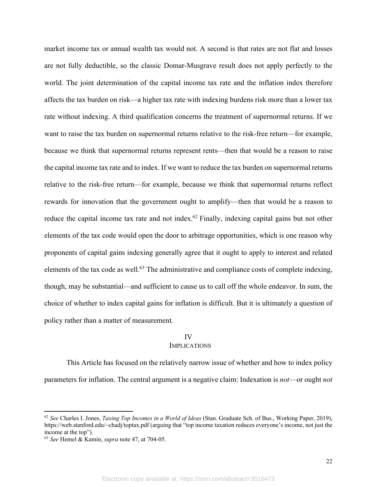market income tax or annual wealth tax would not. A second is that rates are not flat and losses are not fully deductible, so the classic Domar-Musgrave result does not apply perfectly to the world. The joint determination of the capital income tax rate and the inflation index therefore affects the tax burden on risk—a higher tax rate with indexing burdens risk more than a lower tax rate without indexing. A third qualification concerns the treatment of supernormal returns. If we want to raise the tax burden on supernormal returns relative to the risk-free return—for example, because we think that supernormal returns represent rents—then that would be a reason to raise the capital income tax rate and to index. If we want to reduce the tax burden on supernormal returns relative to the risk-free return—for example, because we think that supernormal returns reflect rewards for innovation that the government ought to amplify—then that would be a reason to reduce the capital income tax rate and not index.<sup>62</sup> Finally, indexing capital gains but not other elements of the tax code would open the door to arbitrage opportunities, which is one reason why proponents of capital gains indexing generally agree that it ought to apply to interest and related elements of the tax code as well.<sup>63</sup> The administrative and compliance costs of complete indexing, though, may be substantial—and sufficient to cause us to call off the whole endeavor. In sum, the choice of whether to index capital gains for inflation is difficult. But it is ultimately a question of policy rather than a matter of measurement.

#### IV

#### IMPLICATIONS

This Article has focused on the relatively narrow issue of whether and how to index policy parameters for inflation. The central argument is a negative claim: Indexation is *not*—or ought *not*

<sup>62</sup> *See* Charles I. Jones, *Taxing Top Incomes in a World of Ideas* (Stan. Graduate Sch. of Bus., Working Paper, 2019), https://web.stanford.edu/~chadj/toptax.pdf (arguing that "top income taxation reduces everyone's income, not just the income at the top").

<sup>63</sup> *See* Hemel & Kamin, *supra* note 47, at 704-05.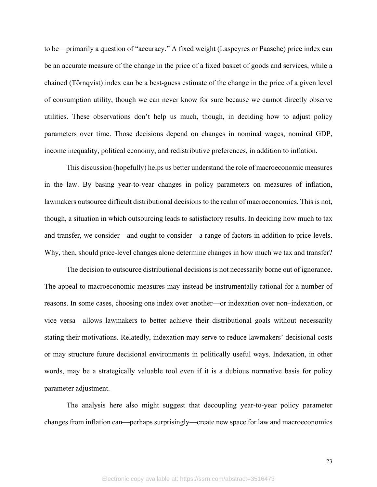to be—primarily a question of "accuracy." A fixed weight (Laspeyres or Paasche) price index can be an accurate measure of the change in the price of a fixed basket of goods and services, while a chained (Törnqvist) index can be a best-guess estimate of the change in the price of a given level of consumption utility, though we can never know for sure because we cannot directly observe utilities. These observations don't help us much, though, in deciding how to adjust policy parameters over time. Those decisions depend on changes in nominal wages, nominal GDP, income inequality, political economy, and redistributive preferences, in addition to inflation.

This discussion (hopefully) helps us better understand the role of macroeconomic measures in the law. By basing year-to-year changes in policy parameters on measures of inflation, lawmakers outsource difficult distributional decisions to the realm of macroeconomics. This is not, though, a situation in which outsourcing leads to satisfactory results. In deciding how much to tax and transfer, we consider—and ought to consider—a range of factors in addition to price levels. Why, then, should price-level changes alone determine changes in how much we tax and transfer?

The decision to outsource distributional decisions is not necessarily borne out of ignorance. The appeal to macroeconomic measures may instead be instrumentally rational for a number of reasons. In some cases, choosing one index over another—or indexation over non–indexation, or vice versa—allows lawmakers to better achieve their distributional goals without necessarily stating their motivations. Relatedly, indexation may serve to reduce lawmakers' decisional costs or may structure future decisional environments in politically useful ways. Indexation, in other words, may be a strategically valuable tool even if it is a dubious normative basis for policy parameter adjustment.

The analysis here also might suggest that decoupling year-to-year policy parameter changes from inflation can—perhaps surprisingly—create new space for law and macroeconomics